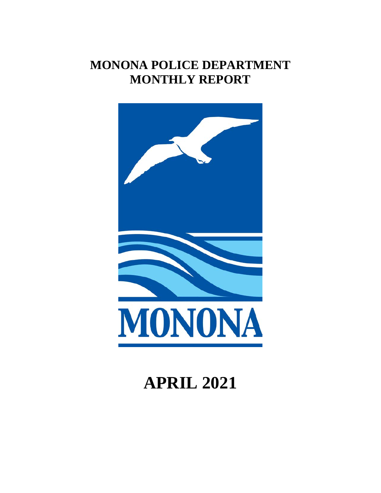## **MONONA POLICE DEPARTMENT MONTHLY REPORT**



# **APRIL 2021**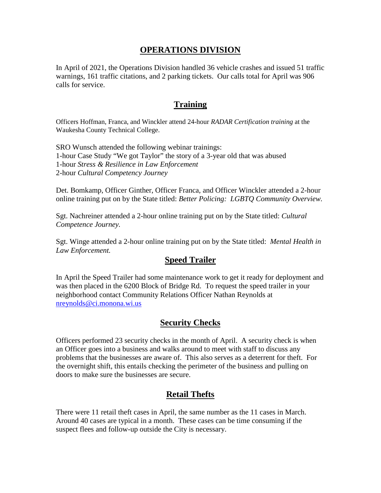#### **OPERATIONS DIVISION**

In April of 2021, the Operations Division handled 36 vehicle crashes and issued 51 traffic warnings, 161 traffic citations, and 2 parking tickets. Our calls total for April was 906 calls for service.

#### **Training**

Officers Hoffman, Franca, and Winckler attend 24-hour *RADAR Certification training* at the Waukesha County Technical College.

SRO Wunsch attended the following webinar trainings: 1-hour Case Study "We got Taylor" the story of a 3-year old that was abused 1-hour *Stress & Resilience in Law Enforcement*  2-hour *Cultural Competency Journey*

Det. Bomkamp, Officer Ginther, Officer Franca, and Officer Winckler attended a 2-hour online training put on by the State titled: *Better Policing: LGBTQ Community Overview.*

Sgt. Nachreiner attended a 2-hour online training put on by the State titled: *Cultural Competence Journey.*

Sgt. Winge attended a 2-hour online training put on by the State titled: *Mental Health in Law Enforcement.*

#### **Speed Trailer**

In April the Speed Trailer had some maintenance work to get it ready for deployment and was then placed in the 6200 Block of Bridge Rd. To request the speed trailer in your neighborhood contact Community Relations Officer Nathan Reynolds at [nreynolds@ci.monona.wi.us](mailto:nreynolds@ci.monona.wi.us)

### **Security Checks**

Officers performed 23 security checks in the month of April. A security check is when an Officer goes into a business and walks around to meet with staff to discuss any problems that the businesses are aware of. This also serves as a deterrent for theft. For the overnight shift, this entails checking the perimeter of the business and pulling on doors to make sure the businesses are secure.

#### **Retail Thefts**

There were 11 retail theft cases in April, the same number as the 11 cases in March. Around 40 cases are typical in a month. These cases can be time consuming if the suspect flees and follow-up outside the City is necessary.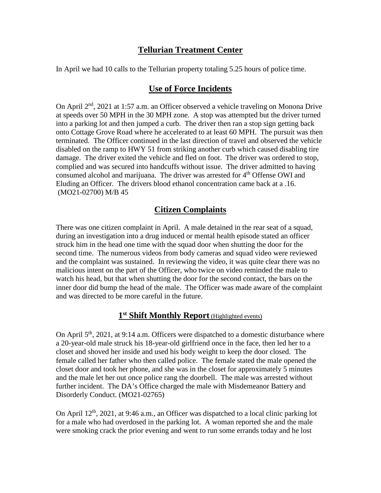#### **Tellurian Treatment Center**

In April we had 10 calls to the Tellurian property totaling 5.25 hours of police time.

#### **Use of Force Incidents**

On April 2<sup>nd</sup>, 2021 at 1:57 a.m. an Officer observed a vehicle traveling on Monona Drive at speeds over 50 MPH in the 30 MPH zone. A stop was attempted but the driver turned into a parking lot and then jumped a curb. The driver then ran a stop sign getting back onto Cottage Grove Road where he accelerated to at least 60 MPH. The pursuit was then terminated. The Officer continued in the last direction of travel and observed the vehicle disabled on the ramp to HWY 51 from striking another curb which caused disabling tire damage. The driver exited the vehicle and fled on foot. The driver was ordered to stop, complied and was secured into handcuffs without issue. The driver admitted to having consumed alcohol and marijuana. The driver was arrested for  $4<sup>th</sup>$  Offense OWI and Eluding an Officer. The drivers blood ethanol concentration came back at a .16. (MO21-02700) M/B 45

### **Citizen Complaints**

There was one citizen complaint in April. A male detained in the rear seat of a squad, during an investigation into a drug induced or mental health episode stated an officer struck him in the head one time with the squad door when shutting the door for the second time. The numerous videos from body cameras and squad video were reviewed and the complaint was sustained. In reviewing the video, it was quite clear there was no malicious intent on the part of the Officer, who twice on video reminded the male to watch his head, but that when shutting the door for the second contact, the bars on the inner door did bump the head of the male. The Officer was made aware of the complaint and was directed to be more careful in the future.

#### **1st Shift Monthly Report** (Highlighted events)

On April  $5<sup>th</sup>$ , 2021, at 9:14 a.m. Officers were dispatched to a domestic disturbance where a 20-year-old male struck his 18-year-old girlfriend once in the face, then led her to a closet and shoved her inside and used his body weight to keep the door closed. The female called her father who then called police. The female stated the male opened the closet door and took her phone, and she was in the closet for approximately 5 minutes and the male let her out once police rang the doorbell. The male was arrested without further incident. The DA's Office charged the male with Misdemeanor Battery and Disorderly Conduct. (MO21-02765)

On April  $12<sup>th</sup>$ , 2021, at 9:46 a.m., an Officer was dispatched to a local clinic parking lot for a male who had overdosed in the parking lot. A woman reported she and the male were smoking crack the prior evening and went to run some errands today and he lost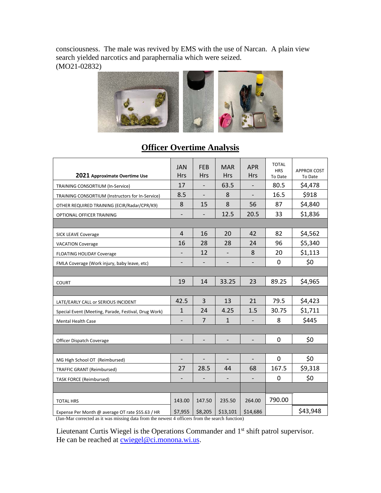consciousness. The male was revived by EMS with the use of Narcan. A plain view search yielded narcotics and paraphernalia which were seized. (MO21-02832)



#### **2021 Approximate Overtime Use** JAN Hrs FEB Hrs MAR Hrs APR Hrs TOTAL **HRS** To Date APPROX COST TRAINING CONSORTIUM (In-Service)  $\begin{vmatrix} 17 & - & 63.5 & - & 80.5 & 54,478 \end{vmatrix}$ TRAINING CONSORTIUM (Instructors for In-Service) 8.5 - 8 - 16.5 \$918 OTHER REQUIRED TRAINING (ECIR/Radar/CPR/K9)  $\begin{vmatrix} 8 & 15 & 8 \\ 15 & 8 & 56 \\ 8 & 36 & 37 \end{vmatrix}$  \$4,840 OPTIONAL OFFICER TRAINING **- 1** - 12.5 20.5 33 \$1,836 SICK LEAVE Coverage **4 16 16 20 42 82 \$4,562** VACATION Coverage 16 28 28 28 24 96 \$5,340 FLOATING HOLIDAY Coverage  $\begin{vmatrix} - & 12 & - & 8 & 20 \\ 8 & - & 8 & 20 \end{vmatrix}$  \$1,113 FMLA Coverage (Work injury, baby leave, etc)  $\begin{vmatrix} - & - & - \\ - & - & - \end{vmatrix}$  -  $\begin{vmatrix} - & - \\ - & - \end{vmatrix}$  0 \ \$0 COURT 19 14 33.25 23 89.25 \$4,965

LATE/EARLY CALL or SERIOUS INCIDENT 42.5 3 13 21 79.5 \$4,423 Special Event (Meeting, Parade, Festival, Drug Work)  $\begin{vmatrix} 1 & 24 & 4.25 & 1.5 & 30.75 & 51.711 \end{vmatrix}$ Mental Health Case - 7 1 - 8 \$445

Officer Dispatch Coverage  $\begin{vmatrix} - & - & - & - & - & 0 \\ 0 & - & - & - & 0 \\ 0 & 0 & 0 & 0 \end{vmatrix}$  50

MG High School OT (Reimbursed)  $\begin{vmatrix} - & - & - & - & - & - & 0 \\ 0 & - & - & - & - & 0 \\ 0 & 0 & 0 & - & - & - \end{vmatrix}$ TRAFFIC GRANT (Reimbursed) 27 | 28.5 | 44 | 68 | 167.5 | \$9,318 TASK FORCE (Reimbursed)  $\begin{vmatrix} - & - & - & - & - \ - & - & - & - \end{vmatrix}$  -  $\begin{vmatrix} - & - & - \ - & - & - \end{vmatrix}$  - 0  $\begin{vmatrix} \frac{\sqrt{3}}{2} & - \frac{\sqrt{3}}{2} \\ - \frac{\sqrt{3}}{2} & - \frac{\sqrt{3}}{2} \end{vmatrix}$ 

#### **Officer Overtime Analysis**

To Date

Expense Per Month @ average OT rate \$55.63 / HR  $\frac{1}{2}$  \$7,955  $\frac{1}{2}$  \$8,205  $\frac{1}{2}$  \$13,101  $\frac{1}{2}$  \$14,686  $\frac{1}{2}$  \$43,948 (Jan-Mar corrected as it was missing data from the newest 4 officers from the search function)

Lieutenant Curtis Wiegel is the Operations Commander and 1<sup>st</sup> shift patrol supervisor. He can be reached at [cwiegel@ci.monona.wi.us.](mailto:cwiegel@ci.monona.wi.us)

TOTAL HRS 143.00 147.50 235.50 264.00 790.00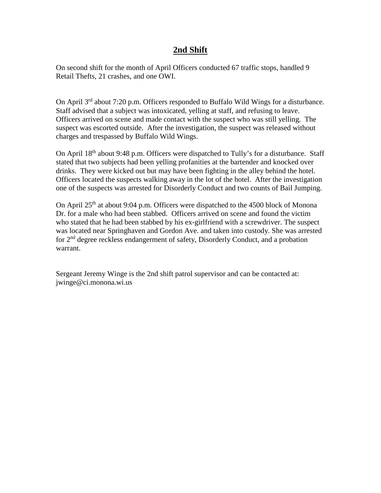#### **2nd Shift**

On second shift for the month of April Officers conducted 67 traffic stops, handled 9 Retail Thefts, 21 crashes, and one OWI.

On April 3rd about 7:20 p.m. Officers responded to Buffalo Wild Wings for a disturbance. Staff advised that a subject was intoxicated, yelling at staff, and refusing to leave. Officers arrived on scene and made contact with the suspect who was still yelling. The suspect was escorted outside. After the investigation, the suspect was released without charges and trespassed by Buffalo Wild Wings.

On April 18<sup>th</sup> about 9:48 p.m. Officers were dispatched to Tully's for a disturbance. Staff stated that two subjects had been yelling profanities at the bartender and knocked over drinks. They were kicked out but may have been fighting in the alley behind the hotel. Officers located the suspects walking away in the lot of the hotel. After the investigation one of the suspects was arrested for Disorderly Conduct and two counts of Bail Jumping.

On April  $25<sup>th</sup>$  at about 9:04 p.m. Officers were dispatched to the 4500 block of Monona Dr. for a male who had been stabbed. Officers arrived on scene and found the victim who stated that he had been stabbed by his ex-girlfriend with a screwdriver. The suspect was located near Springhaven and Gordon Ave. and taken into custody. She was arrested for 2nd degree reckless endangerment of safety, Disorderly Conduct, and a probation warrant.

Sergeant Jeremy Winge is the 2nd shift patrol supervisor and can be contacted at: jwinge@ci.monona.wi.us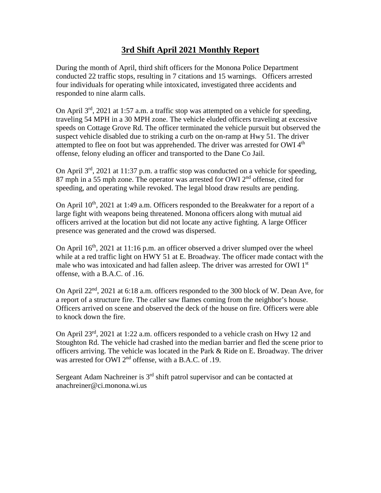#### **3rd Shift April 2021 Monthly Report**

During the month of April, third shift officers for the Monona Police Department conducted 22 traffic stops, resulting in 7 citations and 15 warnings. Officers arrested four individuals for operating while intoxicated, investigated three accidents and responded to nine alarm calls.

On April 3rd, 2021 at 1:57 a.m. a traffic stop was attempted on a vehicle for speeding, traveling 54 MPH in a 30 MPH zone. The vehicle eluded officers traveling at excessive speeds on Cottage Grove Rd. The officer terminated the vehicle pursuit but observed the suspect vehicle disabled due to striking a curb on the on-ramp at Hwy 51. The driver attempted to flee on foot but was apprehended. The driver was arrested for OWI 4<sup>th</sup> offense, felony eluding an officer and transported to the Dane Co Jail.

On April 3rd, 2021 at 11:37 p.m. a traffic stop was conducted on a vehicle for speeding, 87 mph in a 55 mph zone. The operator was arrested for OWI  $2<sup>nd</sup>$  offense, cited for speeding, and operating while revoked. The legal blood draw results are pending.

On April  $10^{th}$ , 2021 at 1:49 a.m. Officers responded to the Breakwater for a report of a large fight with weapons being threatened. Monona officers along with mutual aid officers arrived at the location but did not locate any active fighting. A large Officer presence was generated and the crowd was dispersed.

On April  $16<sup>th</sup>$ , 2021 at 11:16 p.m. an officer observed a driver slumped over the wheel while at a red traffic light on HWY 51 at E. Broadway. The officer made contact with the male who was intoxicated and had fallen asleep. The driver was arrested for OWI 1<sup>st</sup> offense, with a B.A.C. of .16.

On April 22nd, 2021 at 6:18 a.m. officers responded to the 300 block of W. Dean Ave, for a report of a structure fire. The caller saw flames coming from the neighbor's house. Officers arrived on scene and observed the deck of the house on fire. Officers were able to knock down the fire.

On April 23rd, 2021 at 1:22 a.m. officers responded to a vehicle crash on Hwy 12 and Stoughton Rd. The vehicle had crashed into the median barrier and fled the scene prior to officers arriving. The vehicle was located in the Park & Ride on E. Broadway. The driver was arrested for OWI 2<sup>nd</sup> offense, with a B.A.C. of .19.

Sergeant Adam Nachreiner is  $3<sup>rd</sup>$  shift patrol supervisor and can be contacted at anachreiner@ci.monona.wi.us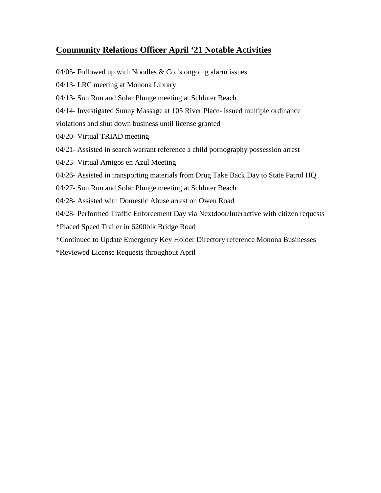### **Community Relations Officer April '21 Notable Activities**

- 04/05- Followed up with Noodles  $& Co.'s$  ongoing alarm issues
- 04/13- LRC meeting at Monona Library
- 04/13- Sun Run and Solar Plunge meeting at Schluter Beach
- 04/14- Investigated Sunny Massage at 105 River Place- issued multiple ordinance

violations and shut down business until license granted

- 04/20- Virtual TRIAD meeting
- 04/21- Assisted in search warrant reference a child pornography possession arrest
- 04/23- Virtual Amigos en Azul Meeting
- 04/26- Assisted in transporting materials from Drug Take Back Day to State Patrol HQ
- 04/27- Sun Run and Solar Plunge meeting at Schluter Beach
- 04/28- Assisted with Domestic Abuse arrest on Owen Road
- 04/28- Performed Traffic Enforcement Day via Nextdoor/Interactive with citizen requests
- \*Placed Speed Trailer in 6200blk Bridge Road
- \*Continued to Update Emergency Key Holder Directory reference Monona Businesses
- \*Reviewed License Requests throughout April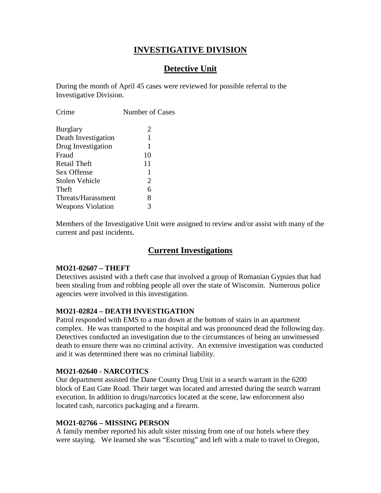#### **INVESTIGATIVE DIVISION**

#### **Detective Unit**

During the month of April 45 cases were reviewed for possible referral to the Investigative Division.

| Crime                    | Number of Cases |
|--------------------------|-----------------|
| <b>Burglary</b>          | 2               |
| Death Investigation      | 1               |
| Drug Investigation       | 1               |
| Fraud                    | 10              |
| Retail Theft             | 11              |
| Sex Offense              | 1               |
| Stolen Vehicle           | 2               |
| Theft                    | 6               |
| Threats/Harassment       | 8               |
| <b>Weapons Violation</b> | 3               |
|                          |                 |

Members of the Investigative Unit were assigned to review and/or assist with many of the current and past incidents.

#### **Current Investigations**

#### **MO21-02607 – THEFT**

Detectives assisted with a theft case that involved a group of Romanian Gypsies that had been stealing from and robbing people all over the state of Wisconsin. Numerous police agencies were involved in this investigation.

#### **MO21-02824 – DEATH INVESTIGATION**

Patrol responded with EMS to a man down at the bottom of stairs in an apartment complex. He was transported to the hospital and was pronounced dead the following day. Detectives conducted an investigation due to the circumstances of being an unwitnessed death to ensure there was no criminal activity. An extensive investigation was conducted and it was determined there was no criminal liability.

#### **MO21-02640 - NARCOTICS**

Our department assisted the Dane County Drug Unit in a search warrant in the 6200 block of East Gate Road. Their target was located and arrested during the search warrant execution. In addition to drugs/narcotics located at the scene, law enforcement also located cash, narcotics packaging and a firearm.

#### **MO21-02766 – MISSING PERSON**

A family member reported his adult sister missing from one of our hotels where they were staying. We learned she was "Escorting" and left with a male to travel to Oregon,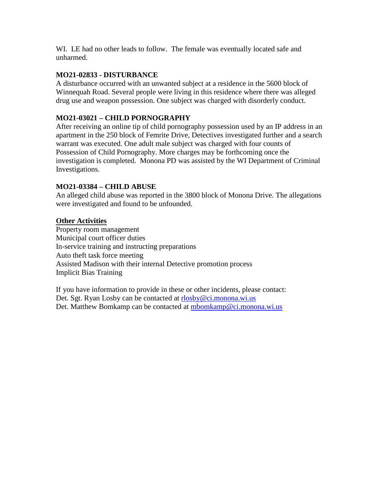WI. LE had no other leads to follow. The female was eventually located safe and unharmed.

#### **MO21-02833 - DISTURBANCE**

A disturbance occurred with an unwanted subject at a residence in the 5600 block of Winnequah Road. Several people were living in this residence where there was alleged drug use and weapon possession. One subject was charged with disorderly conduct.

#### **MO21-03021 – CHILD PORNOGRAPHY**

After receiving an online tip of child pornography possession used by an IP address in an apartment in the 250 block of Femrite Drive, Detectives investigated further and a search warrant was executed. One adult male subject was charged with four counts of Possession of Child Pornography. More charges may be forthcoming once the investigation is completed. Monona PD was assisted by the WI Department of Criminal Investigations.

#### **MO21-03384 – CHILD ABUSE**

An alleged child abuse was reported in the 3800 block of Monona Drive. The allegations were investigated and found to be unfounded.

#### **Other Activities**

Property room management Municipal court officer duties In-service training and instructing preparations Auto theft task force meeting Assisted Madison with their internal Detective promotion process Implicit Bias Training

If you have information to provide in these or other incidents, please contact: Det. Sgt. Ryan Losby can be contacted at [rlosby@ci.monona.wi.us](mailto:rlosby@ci.monona.wi.us) Det. Matthew Bomkamp can be contacted at [mbomkamp@ci.monona.wi.us](mailto:mbomkamp@ci.monona.wi.us)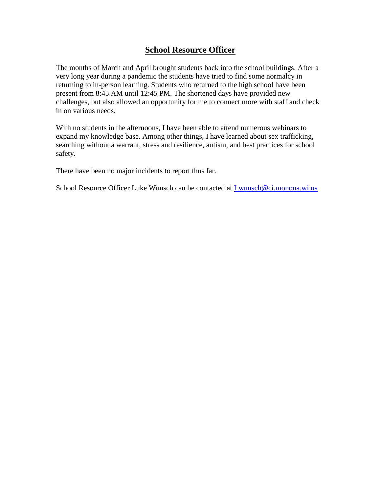#### **School Resource Officer**

The months of March and April brought students back into the school buildings. After a very long year during a pandemic the students have tried to find some normalcy in returning to in-person learning. Students who returned to the high school have been present from 8:45 AM until 12:45 PM. The shortened days have provided new challenges, but also allowed an opportunity for me to connect more with staff and check in on various needs.

With no students in the afternoons, I have been able to attend numerous webinars to expand my knowledge base. Among other things, I have learned about sex trafficking, searching without a warrant, stress and resilience, autism, and best practices for school safety.

There have been no major incidents to report thus far.

School Resource Officer Luke Wunsch can be contacted at [Lwunsch@ci.monona.wi.us](mailto:Lwunsch@ci.monona.wi.us)